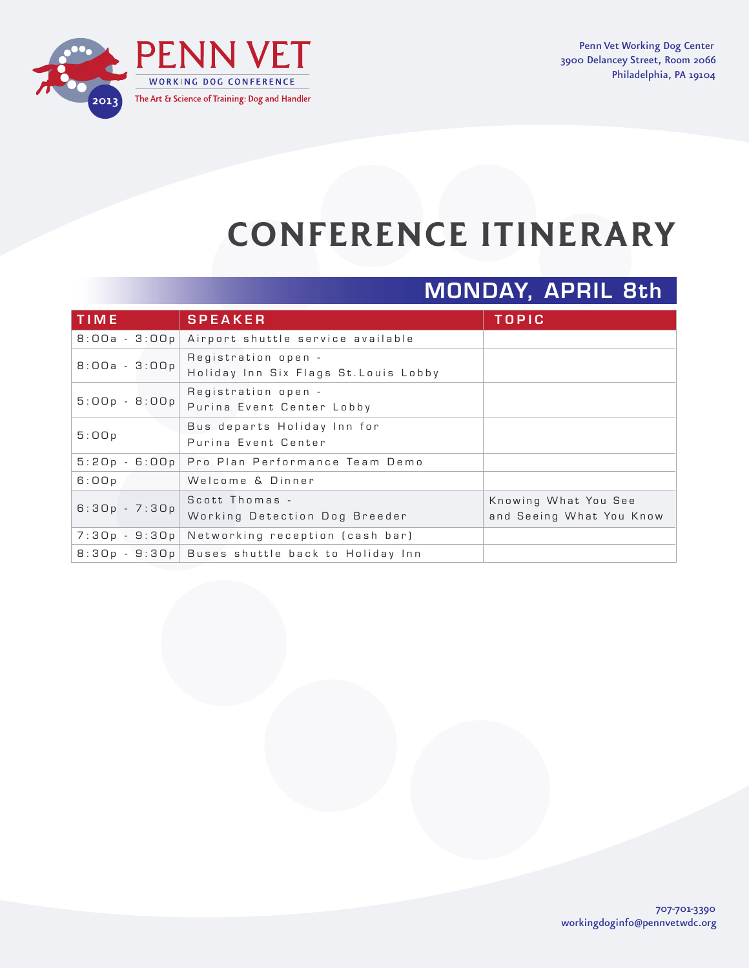

Penn Vet Working Dog Center 3900 Delancey Street, Room 2066 Philadelphia, PA 19104

# **CONFERENCE ITINERARY**

## MONDAY, APRIL 8th

| <b>TIME</b>     | <b>SPEAKER</b>                                               | <b>TOPIC</b>                                     |
|-----------------|--------------------------------------------------------------|--------------------------------------------------|
|                 | 8:00a - 3:00p Airport shuttle service available              |                                                  |
| $B:OOa - 3:OOp$ | Registration open -<br>Holiday Inn Six Flags St. Louis Lobby |                                                  |
| $5:00p - 8:00p$ | Registration open -<br>Purina Event Center Lobby             |                                                  |
| 5:00p           | Bus departs Holiday Inn for<br>Purina Event Center           |                                                  |
|                 | 5:20p - 6:00p Pro Plan Performance Team Demo                 |                                                  |
| 6:00p           | Welcome & Dinner                                             |                                                  |
| $6:30p - 7:30p$ | Scott Thomas -<br>Working Detection Dog Breeder              | Knowing What You See<br>and Seeing What You Know |
|                 | 7:30p - 9:30p Networking reception (cash bar)                |                                                  |
|                 | 8:30p - 9:30p Buses shuttle back to Holiday Inn              |                                                  |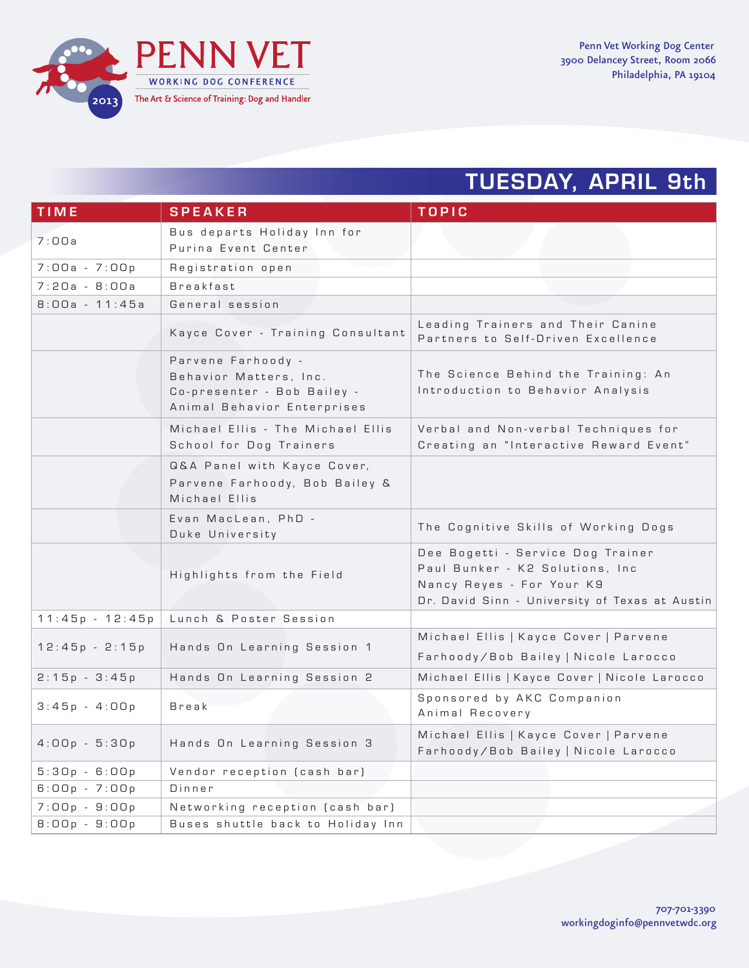

#### TUESDAY, APRIL 9th

| <b>TIME</b>       | <b>SPEAKER</b>                                                                                             | <b>TOPIC</b>                                                                                                                                         |
|-------------------|------------------------------------------------------------------------------------------------------------|------------------------------------------------------------------------------------------------------------------------------------------------------|
| 7:00a             | Bus departs Holiday Inn for<br>Purina Event Center                                                         |                                                                                                                                                      |
| $7:00a - 7:00p$   | Registration open                                                                                          |                                                                                                                                                      |
| $7:20a - B:00a$   | Breakfast                                                                                                  |                                                                                                                                                      |
| $8:00a - 11:45a$  | General session                                                                                            |                                                                                                                                                      |
|                   | Kayce Cover - Training Consultant                                                                          | Leading Trainers and Their Canine<br>Partners to Self-Driven Excellence                                                                              |
|                   | Parvene Farhoody -<br>Behavior Matters, Inc.<br>Co-presenter - Bob Bailey -<br>Animal Behavior Enterprises | The Science Behind the Training: An<br>Introduction to Behavior Analysis                                                                             |
|                   | Michael Ellis - The Michael Ellis<br>School for Dog Trainers                                               | Verbal and Non-verbal Techniques for<br>Creating an "Interactive Reward Event"                                                                       |
|                   | Q&A Panel with Kayce Cover,<br>Parvene Farhoody, Bob Bailey &<br>Michael Ellis                             |                                                                                                                                                      |
|                   | Evan MacLean, PhD -<br>Duke University                                                                     | The Cognitive Skills of Working Dogs                                                                                                                 |
|                   | Highlights from the Field                                                                                  | Dee Bogetti - Service Dog Trainer<br>Paul Bunker - K2 Solutions, Inc.<br>Nancy Reyes - For Your K9<br>Dr. David Sinn - University of Texas at Austin |
| $11:45p - 12:45p$ | Lunch & Poster Session                                                                                     |                                                                                                                                                      |
| $12:45p - 2:15p$  | Hands On Learning Session 1                                                                                | Michael Ellis   Kayce Cover   Parvene<br>Farhoody/Bob Bailey   Nicole Larocco                                                                        |
| $2:15p - 3:45p$   | Hands On Learning Session 2                                                                                | Michael Ellis   Kayce Cover   Nicole Larocco                                                                                                         |
| $3:45p - 4:00p$   | <b>Break</b>                                                                                               | Sponsored by AKC Companion<br>Animal Recovery                                                                                                        |
| $4:00p - 5:30p$   | Hands On Learning Session 3                                                                                | Michael Ellis   Kayce Cover   Parvene<br>Farhoody/Bob Bailey   Nicole Larocco                                                                        |
| $5:30p - 6:00p$   | Vendor reception (cash bar)                                                                                |                                                                                                                                                      |
| $6:00p - 7:00p$   | Dinner                                                                                                     |                                                                                                                                                      |
| $7:00p - 9:00p$   | Networking reception (cash bar)                                                                            |                                                                                                                                                      |
| $8:00p - 9:00p$   | Buses shuttle back to Holiday Inn                                                                          |                                                                                                                                                      |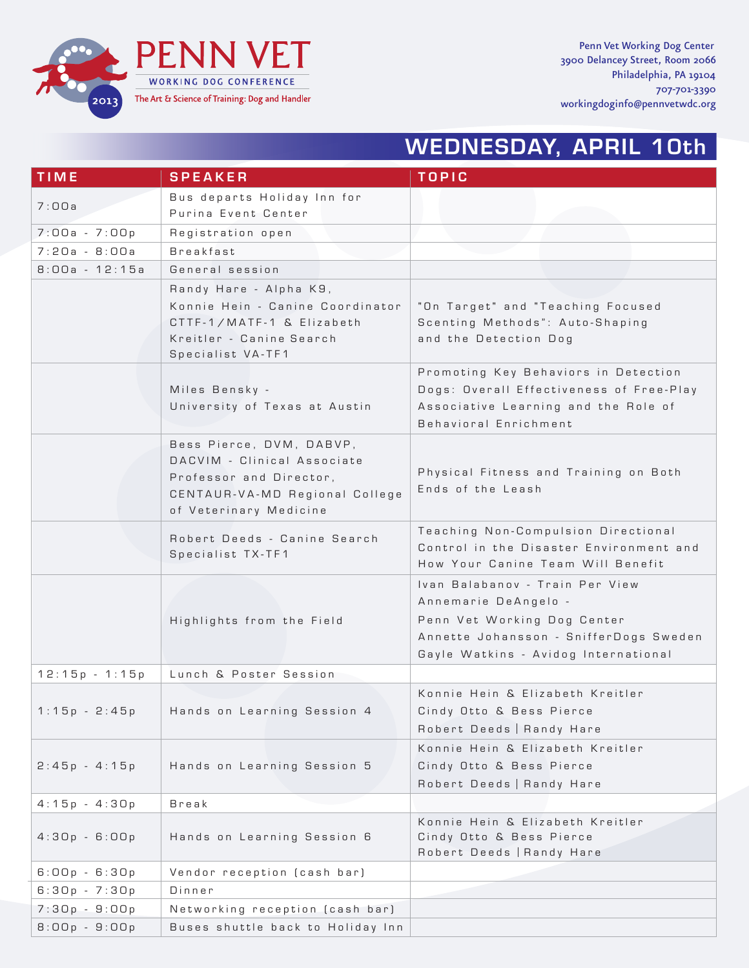

Penn Vet Working Dog Center 3900 Delancey Street, Room 2066 Philadelphia, PA 19104 707-701-3390 workingdoginfo@pennvetwdc.org

## WEDNESDAY, APRIL 10th

| <b>TIME</b>      | <b>SPEAKER</b>                                                                                                                                 | <b>TOPIC</b>                                                                                                                                                             |
|------------------|------------------------------------------------------------------------------------------------------------------------------------------------|--------------------------------------------------------------------------------------------------------------------------------------------------------------------------|
|                  | Bus departs Holiday Inn for                                                                                                                    |                                                                                                                                                                          |
| 7:00a            | Purina Event Center                                                                                                                            |                                                                                                                                                                          |
| $7:00a - 7:00p$  | Registration open                                                                                                                              |                                                                                                                                                                          |
| $7:20a - 8:00a$  | Breakfast                                                                                                                                      |                                                                                                                                                                          |
| $8:00a - 12:15a$ | General session                                                                                                                                |                                                                                                                                                                          |
|                  | Randy Hare - Alpha K9,<br>Konnie Hein - Canine Coordinator<br>CTTF-1/MATF-1 & Elizabeth<br>Kreitler - Canine Search<br>Specialist VA-TF1       | "On Target" and "Teaching Focused<br>Scenting Methods": Auto-Shaping<br>and the Detection Dog                                                                            |
|                  | Miles Bensky -<br>University of Texas at Austin                                                                                                | Promoting Key Behaviors in Detection<br>Dogs: Overall Effectiveness of Free-Play<br>Associative Learning and the Role of<br>Behavioral Enrichment                        |
|                  | Bess Pierce, DVM, DABVP,<br>DACVIM - Clinical Associate<br>Professor and Director,<br>CENTAUR-VA-MD Regional College<br>of Veterinary Medicine | Physical Fitness and Training on Both<br>Ends of the Leash                                                                                                               |
|                  | Robert Deeds - Canine Search<br>Specialist TX-TF1                                                                                              | Teaching Non-Compulsion Directional<br>Control in the Disaster Environment and<br>How Your Canine Team Will Benefit                                                      |
|                  | Highlights from the Field                                                                                                                      | Ivan Balabanov - Train Per View<br>Annemarie DeAngelo -<br>Penn Vet Working Dog Center<br>Annette Johansson - SnifferDogs Sweden<br>Gayle Watkins - Avidog International |
| $12:15p - 1:15p$ | Lunch & Poster Session                                                                                                                         |                                                                                                                                                                          |
| $1:15p - 2:45p$  | Hands on Learning Session 4                                                                                                                    | Konnie Hein & Elizabeth Kreitler<br>Cindy Otto & Bess Pierce<br>Robert Deeds   Randy Hare                                                                                |
| $2:45p - 4:15p$  | Hands on Learning Session 5                                                                                                                    | Konnie Hein & Elizabeth Kreitler<br>Cindy Otto & Bess Pierce<br>Robert Deeds   Randy Hare                                                                                |
| $4:15p - 4:30p$  | Break                                                                                                                                          |                                                                                                                                                                          |
| $4:30p - 6:00p$  | Hands on Learning Session 6                                                                                                                    | Konnie Hein & Elizabeth Kreitler<br>Cindy Otto & Bess Pierce<br>Robert Deeds   Randy Hare                                                                                |
| $6:00p - 6:30p$  | Vendor reception (cash bar)                                                                                                                    |                                                                                                                                                                          |
| $6:30p - 7:30p$  | Dinner                                                                                                                                         |                                                                                                                                                                          |
| $7:30p - 9:00p$  | Networking reception (cash bar)                                                                                                                |                                                                                                                                                                          |
| $8:00p - 9:00p$  | Buses shuttle back to Holiday Inn                                                                                                              |                                                                                                                                                                          |